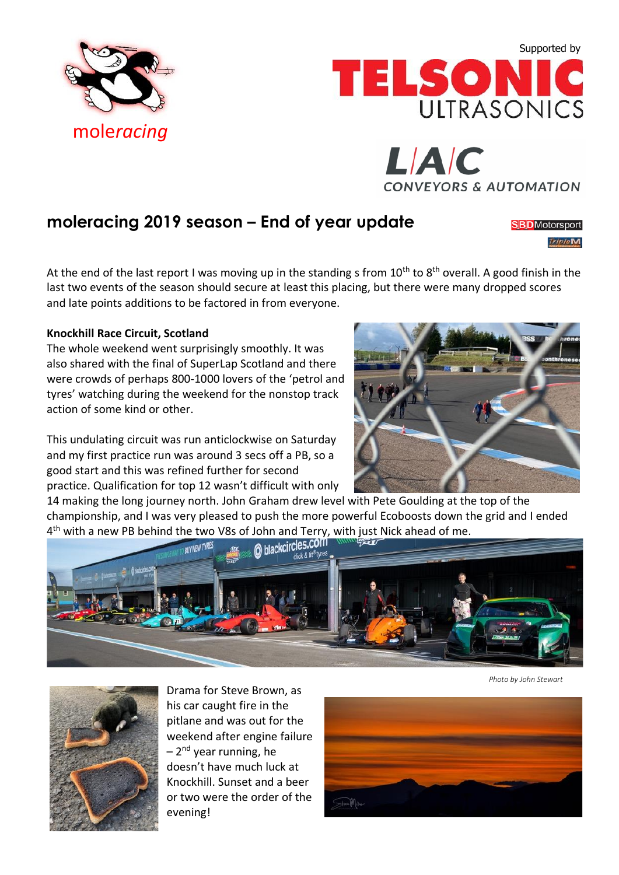





## **moleracing 2019 season – End of year update**

**SBD**Motorsport TripleM

At the end of the last report I was moving up in the standing s from  $10^{th}$  to  $8^{th}$  overall. A good finish in the last two events of the season should secure at least this placing, but there were many dropped scores and late points additions to be factored in from everyone.

## **Knockhill Race Circuit, Scotland**

The whole weekend went surprisingly smoothly. It was also shared with the final of SuperLap Scotland and there were crowds of perhaps 800-1000 lovers of the 'petrol and tyres' watching during the weekend for the nonstop track action of some kind or other.

This undulating circuit was run anticlockwise on Saturday and my first practice run was around 3 secs off a PB, so a good start and this was refined further for second practice. Qualification for top 12 wasn't difficult with only

14 making the long journey north. John Graham drew level with Pete Goulding at the top of the championship, and I was very pleased to push the more powerful Ecoboosts down the grid and I ended 4<sup>th</sup> with a new PB behind the two V8s of John and Terry, with just Nick ahead of me.



*Photo by John Stewart*



Drama for Steve Brown, as his car caught fire in the pitlane and was out for the weekend after engine failure – 2<sup>nd</sup> year running, he doesn't have much luck at Knockhill. Sunset and a beer or two were the order of the evening!

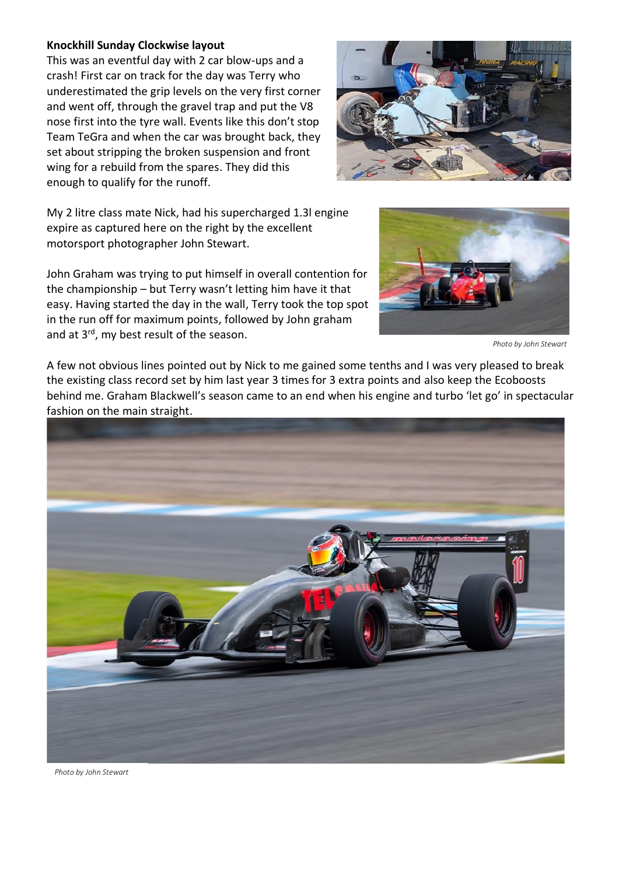## **Knockhill Sunday Clockwise layout**

This was an eventful day with 2 car blow-ups and a crash! First car on track for the day was Terry who underestimated the grip levels on the very first corner and went off, through the gravel trap and put the V8 nose first into the tyre wall. Events like this don't stop Team TeGra and when the car was brought back, they set about stripping the broken suspension and front wing for a rebuild from the spares. They did this enough to qualify for the runoff.



My 2 litre class mate Nick, had his supercharged 1.3l engine expire as captured here on the right by the excellent motorsport photographer John Stewart.

John Graham was trying to put himself in overall contention for the championship – but Terry wasn't letting him have it that easy. Having started the day in the wall, Terry took the top spot in the run off for maximum points, followed by John graham and at 3<sup>rd</sup>, my best result of the season.



*Photo by John Stewart*

A few not obvious lines pointed out by Nick to me gained some tenths and I was very pleased to break the existing class record set by him last year 3 times for 3 extra points and also keep the Ecoboosts behind me. Graham Blackwell's season came to an end when his engine and turbo 'let go' in spectacular fashion on the main straight.



*Photo by John Stewart*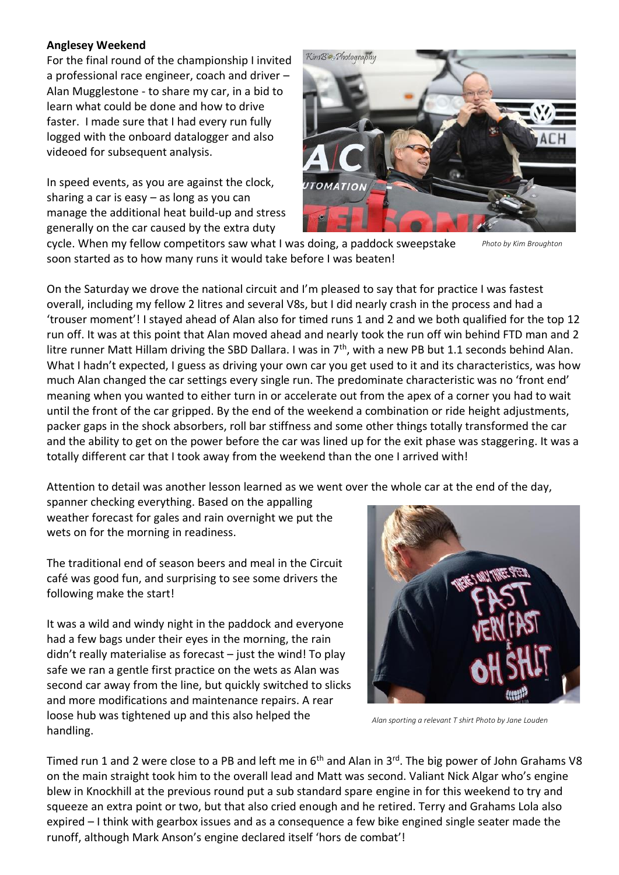## **Anglesey Weekend**

For the final round of the championship I invited a professional race engineer, coach and driver – Alan Mugglestone - to share my car, in a bid to learn what could be done and how to drive faster. I made sure that I had every run fully logged with the onboard datalogger and also videoed for subsequent analysis.

In speed events, as you are against the clock, sharing a car is easy – as long as you can manage the additional heat build-up and stress generally on the car caused by the extra duty



cycle. When my fellow competitors saw what I was doing, a paddock sweepstake soon started as to how many runs it would take before I was beaten!

*Photo by Kim Broughton*

On the Saturday we drove the national circuit and I'm pleased to say that for practice I was fastest overall, including my fellow 2 litres and several V8s, but I did nearly crash in the process and had a 'trouser moment'! I stayed ahead of Alan also for timed runs 1 and 2 and we both qualified for the top 12 run off. It was at this point that Alan moved ahead and nearly took the run off win behind FTD man and 2 litre runner Matt Hillam driving the SBD Dallara. I was in 7<sup>th</sup>, with a new PB but 1.1 seconds behind Alan. What I hadn't expected, I guess as driving your own car you get used to it and its characteristics, was how much Alan changed the car settings every single run. The predominate characteristic was no 'front end' meaning when you wanted to either turn in or accelerate out from the apex of a corner you had to wait until the front of the car gripped. By the end of the weekend a combination or ride height adjustments, packer gaps in the shock absorbers, roll bar stiffness and some other things totally transformed the car and the ability to get on the power before the car was lined up for the exit phase was staggering. It was a totally different car that I took away from the weekend than the one I arrived with!

Attention to detail was another lesson learned as we went over the whole car at the end of the day,

spanner checking everything. Based on the appalling weather forecast for gales and rain overnight we put the wets on for the morning in readiness.

The traditional end of season beers and meal in the Circuit café was good fun, and surprising to see some drivers the following make the start!

It was a wild and windy night in the paddock and everyone had a few bags under their eyes in the morning, the rain didn't really materialise as forecast – just the wind! To play safe we ran a gentle first practice on the wets as Alan was second car away from the line, but quickly switched to slicks and more modifications and maintenance repairs. A rear loose hub was tightened up and this also helped the handling.



*Alan sporting a relevant T shirt Photo by Jane Louden*

Timed run 1 and 2 were close to a PB and left me in  $6<sup>th</sup>$  and Alan in  $3<sup>rd</sup>$ . The big power of John Grahams V8 on the main straight took him to the overall lead and Matt was second. Valiant Nick Algar who's engine blew in Knockhill at the previous round put a sub standard spare engine in for this weekend to try and squeeze an extra point or two, but that also cried enough and he retired. Terry and Grahams Lola also expired – I think with gearbox issues and as a consequence a few bike engined single seater made the runoff, although Mark Anson's engine declared itself 'hors de combat'!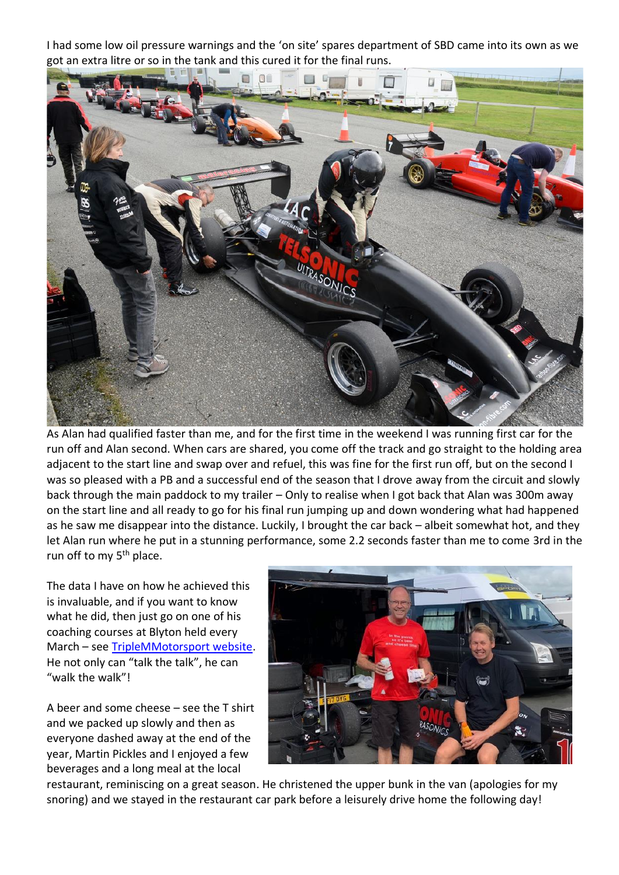I had some low oil pressure warnings and the 'on site' spares department of SBD came into its own as we got an extra litre or so in the tank and this cured it for the final runs.



As Alan had qualified faster than me, and for the first time in the weekend I was running first car for the run off and Alan second. When cars are shared, you come off the track and go straight to the holding area adjacent to the start line and swap over and refuel, this was fine for the first run off, but on the second I was so pleased with a PB and a successful end of the season that I drove away from the circuit and slowly back through the main paddock to my trailer – Only to realise when I got back that Alan was 300m away on the start line and all ready to go for his final run jumping up and down wondering what had happened as he saw me disappear into the distance. Luckily, I brought the car back – albeit somewhat hot, and they let Alan run where he put in a stunning performance, some 2.2 seconds faster than me to come 3rd in the run off to my 5<sup>th</sup> place.

The data I have on how he achieved this is invaluable, and if you want to know what he did, then just go on one of his coaching courses at Blyton held every March – see [TripleMMotorsport website.](https://www.triplemmotorsport.co.uk/) He not only can "talk the talk", he can "walk the walk"!

A beer and some cheese – see the T shirt and we packed up slowly and then as everyone dashed away at the end of the year, Martin Pickles and I enjoyed a few beverages and a long meal at the local



restaurant, reminiscing on a great season. He christened the upper bunk in the van (apologies for my snoring) and we stayed in the restaurant car park before a leisurely drive home the following day!